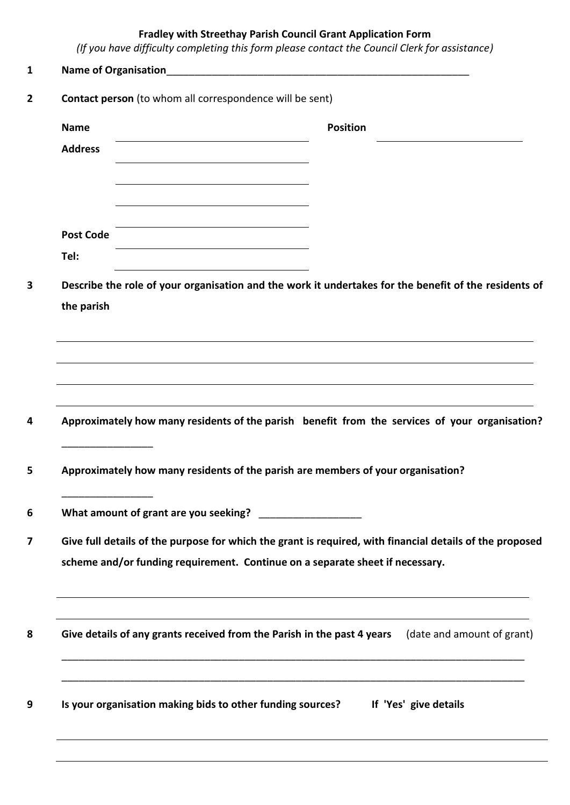## **Fradley with Streethay Parish Council Grant Application Form**

*(If you have difficulty completing this form please contact the Council Clerk for assistance)*

| Contact person (to whom all correspondence will be sent)                                              |                                                                                                          |  |  |  |
|-------------------------------------------------------------------------------------------------------|----------------------------------------------------------------------------------------------------------|--|--|--|
| <b>Name</b>                                                                                           | <b>Position</b>                                                                                          |  |  |  |
| <b>Address</b>                                                                                        |                                                                                                          |  |  |  |
|                                                                                                       |                                                                                                          |  |  |  |
|                                                                                                       |                                                                                                          |  |  |  |
| <b>Post Code</b>                                                                                      |                                                                                                          |  |  |  |
| Tel:                                                                                                  |                                                                                                          |  |  |  |
| Describe the role of your organisation and the work it undertakes for the benefit of the residents of |                                                                                                          |  |  |  |
| the parish                                                                                            |                                                                                                          |  |  |  |
|                                                                                                       |                                                                                                          |  |  |  |
|                                                                                                       |                                                                                                          |  |  |  |
|                                                                                                       |                                                                                                          |  |  |  |
|                                                                                                       | ,我们也不会有什么。""我们的人,我们也不会有什么?""我们的人,我们也不会有什么?""我们的人,我们也不会有什么?""我们的人,我们也不会有什么?""我们的人                         |  |  |  |
|                                                                                                       | Approximately how many residents of the parish benefit from the services of your organisation?           |  |  |  |
| Approximately how many residents of the parish are members of your organisation?                      |                                                                                                          |  |  |  |
|                                                                                                       |                                                                                                          |  |  |  |
|                                                                                                       | Give full details of the purpose for which the grant is required, with financial details of the proposed |  |  |  |
| scheme and/or funding requirement. Continue on a separate sheet if necessary.                         |                                                                                                          |  |  |  |
|                                                                                                       |                                                                                                          |  |  |  |
|                                                                                                       | Give details of any grants received from the Parish in the past 4 years (date and amount of grant)       |  |  |  |
|                                                                                                       |                                                                                                          |  |  |  |
| Is your organisation making bids to other funding sources?                                            | If 'Yes' give details                                                                                    |  |  |  |